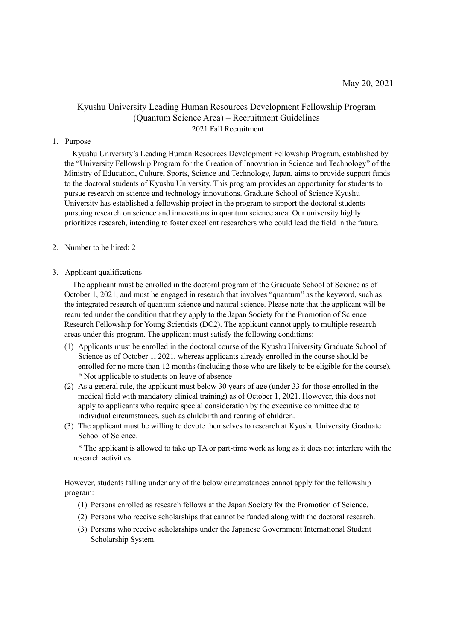# Kyushu University Leading Human Resources Development Fellowship Program (Quantum Science Area) – Recruitment Guidelines 2021 Fall Recruitment

### 1. Purpose

Kyushu University's Leading Human Resources Development Fellowship Program, established by the "University Fellowship Program for the Creation of Innovation in Science and Technology" of the Ministry of Education, Culture, Sports, Science and Technology, Japan, aims to provide support funds to the doctoral students of Kyushu University. This program provides an opportunity for students to pursue research on science and technology innovations. Graduate School of Science Kyushu University has established a fellowship project in the program to support the doctoral students pursuing research on science and innovations in quantum science area. Our university highly prioritizes research, intending to foster excellent researchers who could lead the field in the future.

#### 2. Number to be hired: 2

#### 3. Applicant qualifications

The applicant must be enrolled in the doctoral program of the Graduate School of Science as of October 1, 2021, and must be engaged in research that involves "quantum" as the keyword, such as the integrated research of quantum science and natural science. Please note that the applicant will be recruited under the condition that they apply to the Japan Society for the Promotion of Science Research Fellowship for Young Scientists (DC2). The applicant cannot apply to multiple research areas under this program. The applicant must satisfy the following conditions:

- (1) Applicants must be enrolled in the doctoral course of the Kyushu University Graduate School of Science as of October 1, 2021, whereas applicants already enrolled in the course should be enrolled for no more than 12 months (including those who are likely to be eligible for the course). \* Not applicable to students on leave of absence
- (2) As a general rule, the applicant must below 30 years of age (under 33 for those enrolled in the medical field with mandatory clinical training) as of October 1, 2021. However, this does not apply to applicants who require special consideration by the executive committee due to individual circumstances, such as childbirth and rearing of children.
- (3) The applicant must be willing to devote themselves to research at Kyushu University Graduate School of Science.

\* The applicant is allowed to take up TA or part-time work as long as it does not interfere with the research activities.

However, students falling under any of the below circumstances cannot apply for the fellowship program:

- (1) Persons enrolled as research fellows at the Japan Society for the Promotion of Science.
- (2) Persons who receive scholarships that cannot be funded along with the doctoral research.
- (3) Persons who receive scholarships under the Japanese Government International Student Scholarship System.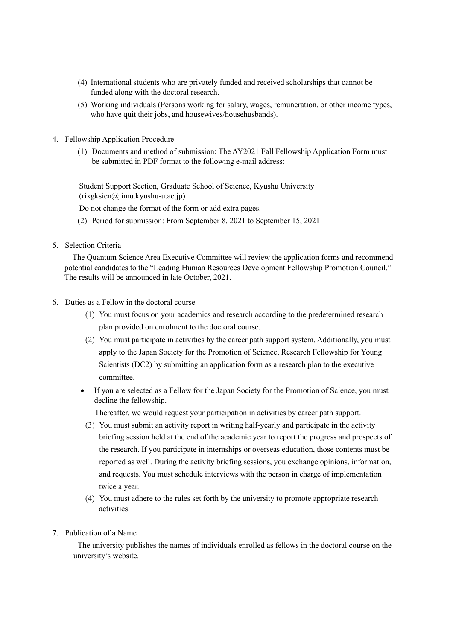- (4) International students who are privately funded and received scholarships that cannot be funded along with the doctoral research.
- (5) Working individuals (Persons working for salary, wages, remuneration, or other income types, who have quit their jobs, and housewives/househusbands).
- 4. Fellowship Application Procedure
	- (1) Documents and method of submission: The AY2021 Fall Fellowship Application Form must be submitted in PDF format to the following e-mail address:

Student Support Section, Graduate School of Science, Kyushu University (rixgksien@jimu.kyushu-u.ac.jp)

Do not change the format of the form or add extra pages.

- (2) Period for submission: From September 8, 2021 to September 15, 2021
- 5. Selection Criteria

The Quantum Science Area Executive Committee will review the application forms and recommend potential candidates to the "Leading Human Resources Development Fellowship Promotion Council." The results will be announced in late October, 2021.

- 6. Duties as a Fellow in the doctoral course
	- (1) You must focus on your academics and research according to the predetermined research plan provided on enrolment to the doctoral course.
	- (2) You must participate in activities by the career path support system. Additionally, you must apply to the Japan Society for the Promotion of Science, Research Fellowship for Young Scientists (DC2) by submitting an application form as a research plan to the executive committee.
	- If you are selected as a Fellow for the Japan Society for the Promotion of Science, you must decline the fellowship.

Thereafter, we would request your participation in activities by career path support.

- (3) You must submit an activity report in writing half-yearly and participate in the activity briefing session held at the end of the academic year to report the progress and prospects of the research. If you participate in internships or overseas education, those contents must be reported as well. During the activity briefing sessions, you exchange opinions, information, and requests. You must schedule interviews with the person in charge of implementation twice a year.
- (4) You must adhere to the rules set forth by the university to promote appropriate research activities.
- 7. Publication of a Name

The university publishes the names of individuals enrolled as fellows in the doctoral course on the university's website.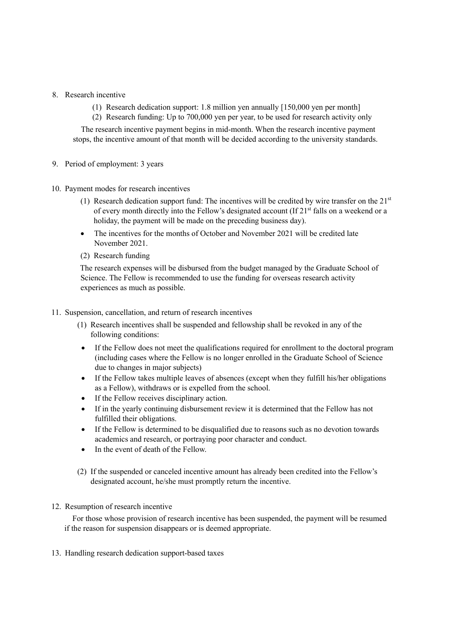## 8. Research incentive

- (1) Research dedication support: 1.8 million yen annually [150,000 yen per month]
- (2) Research funding: Up to 700,000 yen per year, to be used for research activity only

The research incentive payment begins in mid-month. When the research incentive payment stops, the incentive amount of that month will be decided according to the university standards.

- 9. Period of employment: 3 years
- 10. Payment modes for research incentives
	- (1) Research dedication support fund: The incentives will be credited by wire transfer on the  $21<sup>st</sup>$ of every month directly into the Fellow's designated account (If  $21<sup>st</sup>$  falls on a weekend or a holiday, the payment will be made on the preceding business day).
	- The incentives for the months of October and November 2021 will be credited late November 2021.
	- (2) Research funding

The research expenses will be disbursed from the budget managed by the Graduate School of Science. The Fellow is recommended to use the funding for overseas research activity experiences as much as possible.

- 11. Suspension, cancellation, and return of research incentives
	- (1) Research incentives shall be suspended and fellowship shall be revoked in any of the following conditions:
	- If the Fellow does not meet the qualifications required for enrollment to the doctoral program (including cases where the Fellow is no longer enrolled in the Graduate School of Science due to changes in major subjects)
	- If the Fellow takes multiple leaves of absences (except when they fulfill his/her obligations as a Fellow), withdraws or is expelled from the school.
	- If the Fellow receives disciplinary action.
	- If in the yearly continuing disbursement review it is determined that the Fellow has not fulfilled their obligations.
	- If the Fellow is determined to be disqualified due to reasons such as no devotion towards academics and research, or portraying poor character and conduct.
	- In the event of death of the Fellow.
	- (2) If the suspended or canceled incentive amount has already been credited into the Fellow's designated account, he/she must promptly return the incentive.
- 12. Resumption of research incentive

For those whose provision of research incentive has been suspended, the payment will be resumed if the reason for suspension disappears or is deemed appropriate.

13. Handling research dedication support-based taxes